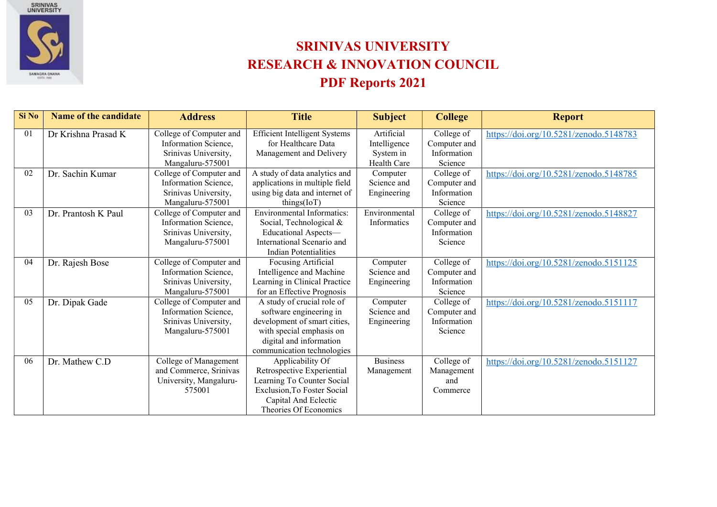

## SRINIVAS UNIVERSITY RESEARCH & INNOVATION COUNCIL PDF Reports 2021

| Si No | <b>Name of the candidate</b> | <b>Address</b>          | <b>Title</b>                         | <b>Subject</b>  | <b>College</b> | <b>Report</b>                          |
|-------|------------------------------|-------------------------|--------------------------------------|-----------------|----------------|----------------------------------------|
| 01    | Dr Krishna Prasad K          | College of Computer and | <b>Efficient Intelligent Systems</b> | Artificial      | College of     | https://doi.org/10.5281/zenodo.5148783 |
|       |                              | Information Science,    | for Healthcare Data                  | Intelligence    | Computer and   |                                        |
|       |                              | Srinivas University,    | Management and Delivery              | System in       | Information    |                                        |
|       |                              | Mangaluru-575001        |                                      | Health Care     | Science        |                                        |
| 02    | Dr. Sachin Kumar             | College of Computer and | A study of data analytics and        | Computer        | College of     | https://doi.org/10.5281/zenodo.5148785 |
|       |                              | Information Science,    | applications in multiple field       | Science and     | Computer and   |                                        |
|       |                              | Srinivas University,    | using big data and internet of       | Engineering     | Information    |                                        |
|       |                              | Mangaluru-575001        | things (IoT)                         |                 | Science        |                                        |
| 03    | Dr. Prantosh K Paul          | College of Computer and | <b>Environmental Informatics:</b>    | Environmental   | College of     | https://doi.org/10.5281/zenodo.5148827 |
|       |                              | Information Science,    | Social, Technological &              | Informatics     | Computer and   |                                        |
|       |                              | Srinivas University,    | Educational Aspects-                 |                 | Information    |                                        |
|       |                              | Mangaluru-575001        | International Scenario and           |                 | Science        |                                        |
|       |                              |                         | <b>Indian Potentialities</b>         |                 |                |                                        |
| 04    | Dr. Rajesh Bose              | College of Computer and | Focusing Artificial                  | Computer        | College of     | https://doi.org/10.5281/zenodo.5151125 |
|       |                              | Information Science,    | Intelligence and Machine             | Science and     | Computer and   |                                        |
|       |                              | Srinivas University,    | Learning in Clinical Practice        | Engineering     | Information    |                                        |
|       |                              | Mangaluru-575001        | for an Effective Prognosis           |                 | Science        |                                        |
| 05    | Dr. Dipak Gade               | College of Computer and | A study of crucial role of           | Computer        | College of     | https://doi.org/10.5281/zenodo.5151117 |
|       |                              | Information Science,    | software engineering in              | Science and     | Computer and   |                                        |
|       |                              | Srinivas University,    | development of smart cities,         | Engineering     | Information    |                                        |
|       |                              | Mangaluru-575001        | with special emphasis on             |                 | Science        |                                        |
|       |                              |                         | digital and information              |                 |                |                                        |
|       |                              |                         | communication technologies           |                 |                |                                        |
| 06    | Dr. Mathew C.D               | College of Management   | Applicability Of                     | <b>Business</b> | College of     | https://doi.org/10.5281/zenodo.5151127 |
|       |                              | and Commerce, Srinivas  | Retrospective Experiential           | Management      | Management     |                                        |
|       |                              | University, Mangaluru-  | Learning To Counter Social           |                 | and            |                                        |
|       |                              | 575001                  | <b>Exclusion, To Foster Social</b>   |                 | Commerce       |                                        |
|       |                              |                         | Capital And Eclectic                 |                 |                |                                        |
|       |                              |                         | Theories Of Economics                |                 |                |                                        |